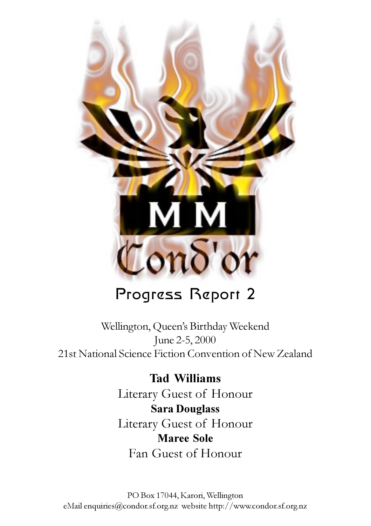

## Progress Report 2

Wellington, Queen's Birthday Weekend June 2-5, 2000 21st National Science Fiction Convention of New Zealand

> **Tad Williams** Literary Guest of Honour **Sara Douglass** Literary Guest of Honour **Maree Sole** Fan Guest of Honour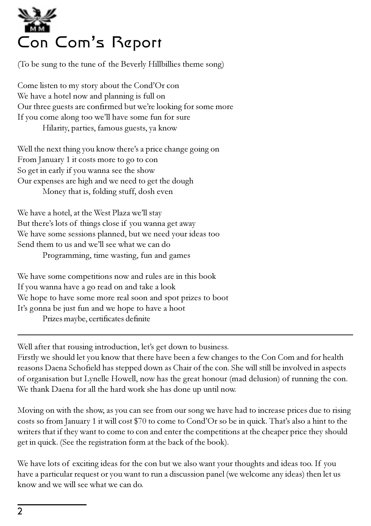

(To be sung to the tune of the Beverly Hillbillies theme song)

Come listen to my story about the Cond'Or con We have a hotel now and planning is full on Our three guests are confirmed but we're looking for some more If you come along too we'll have some fun for sure Hilarity, parties, famous guests, ya know

Well the next thing you know there's a price change going on From January 1 it costs more to go to con So get in early if you wanna see the show Our expenses are high and we need to get the dough Money that is, folding stuff, dosh even

We have a hotel, at the West Plaza we'll stay But there's lots of things close if you wanna get away We have some sessions planned, but we need your ideas too Send them to us and we'll see what we can do Programming, time wasting, fun and games

We have some competitions now and rules are in this book If you wanna have a go read on and take a look We hope to have some more real soon and spot prizes to boot It's gonna be just fun and we hope to have a hoot Prizes maybe, certificates definite

Well after that rousing introduction, let's get down to business.

Firstly we should let you know that there have been a few changes to the Con Com and for health reasons Daena Schofield has stepped down as Chair of the con. She will still be involved in aspects of organisation but Lynelle Howell, now has the great honour (mad delusion) of running the con. We thank Daena for all the hard work she has done up until now.

Moving on with the show, as you can see from our song we have had to increase prices due to rising costs so from January 1 it will cost \$70 to come to Cond'Or so be in quick. That's also a hint to the writers that if they want to come to con and enter the competitions at the cheaper price they should get in quick. (See the registration form at the back of the book).

We have lots of exciting ideas for the con but we also want your thoughts and ideas too. If you have a particular request or you want to run a discussion panel (we welcome any ideas) then let us know and we will see what we can do.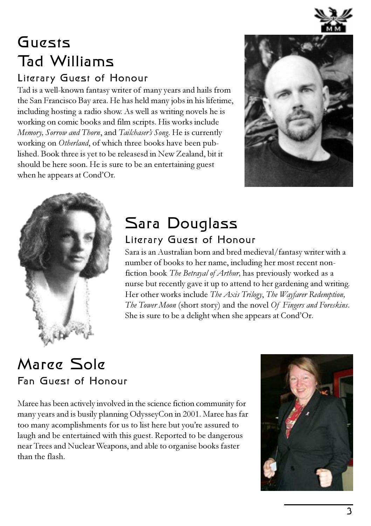

## Guests Tad Williams

#### Literary Guest of Honour

Tad is a well-known fantasy writer of many years and hails from the San Francisco Bay area. He has held many jobs in his lifetime, including hosting a radio show. As well as writing novels he is working on comic books and film scripts. His works include *Memory, Sorrow and Thorn*, and *Tailchasers Song*. He is currently working on *Otherland*, of which three books have been published. Book three is yet to be releasesd in New Zealand, bit it should be here soon. He is sure to be an entertaining guest when he appears at Cond'Or.





### Sara Douglass Literary Guest of Honour

Sara is an Australian born and bred medieval/fantasy writer with a number of books to her name, including her most recent nonfiction book *The Betrayal of Arthur,* has previously worked as a nurse but recently gave it up to attend to her gardening and writing. Her other works include *The Axis Trilogy*, *The Wayfarer Redemption, The Tower Moon* (short story) and the novel *Of Fingers and Foreskins*. She is sure to be a delight when she appears at Cond'Or.

### Maree Sole Fan Guest of Honour

Maree has been actively involved in the science fiction community for many years and is busily planning OdysseyCon in 2001. Maree has far too many acomplishments for us to list here but youre assured to laugh and be entertained with this guest. Reported to be dangerous near Trees and Nuclear Weapons, and able to organise books faster than the flash.

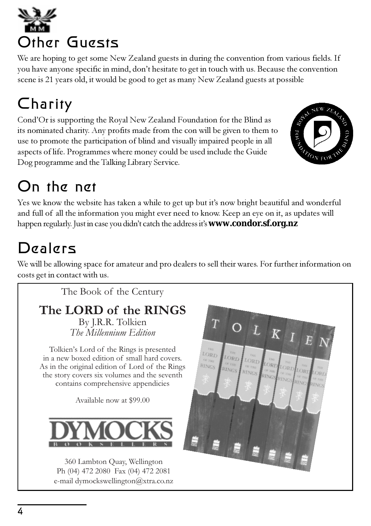Other Guests

We are hoping to get some New Zealand guests in during the convention from various fields. If you have anyone specific in mind, don't hesitate to get in touch with us. Because the convention scene is 21 years old, it would be good to get as many New Zealand guests at possible

## Charity

Cond'Or is supporting the Royal New Zealand Foundation for the Blind as its nominated charity. Any profits made from the con will be given to them to use to promote the participation of blind and visually impaired people in all aspects of life. Programmes where money could be used include the Guide Dog programme and the Talking Library Service.

## On the net

Yes we know the website has taken a while to get up but it's now bright beautiful and wonderful and full of all the information you might ever need to know. Keep an eye on it, as updates will happen regularly. Just in case you didn't catch the address it's **www.condor.sf.org.nz** 

## Dealers

We will be allowing space for amateur and pro dealers to sell their wares. For further information on costs get in contact with us.



360 Lambton Quay, Wellington Ph (04) 472 2080 Fax (04) 472 2081 e-mail dymockswellington@xtra.co.nz

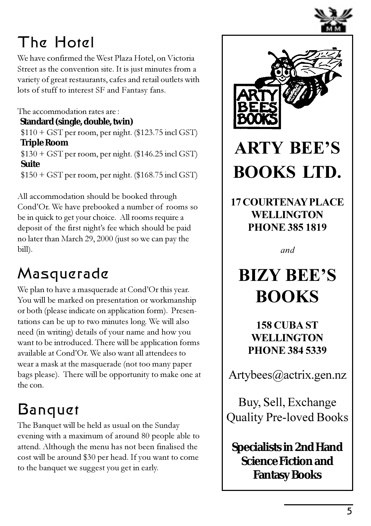

## The Hotel

We have confirmed the West Plaza Hotel, on Victoria Street as the convention site. It is just minutes from a variety of great restaurants, cafes and retail outlets with lots of stuff to interest SF and Fantasy fans.

The accommodation rates are :

**Standard (single, double, twin)**

 \$110 + GST per room, per night. (\$123.75 incl GST)  **Triple Room**

 \$130 + GST per room, per night. (\$146.25 incl GST)  **Suite**

\$150 + GST per room, per night. (\$168.75 incl GST)

All accommodation should be booked through Cond'Or. We have prebooked a number of rooms so be in quick to get your choice. All rooms require a deposit of the first night's fee which should be paid no later than March 29, 2000 (just so we can pay the bill).

## Masquerade

We plan to have a masquerade at Cond'Or this year. You will be marked on presentation or workmanship or both (please indicate on application form). Presentations can be up to two minutes long. We will also need (in writing) details of your name and how you want to be introduced. There will be application forms available at Cond'Or. We also want all attendees to wear a mask at the masquerade (not too many paper bags please). There will be opportunity to make one at the con.

## Banquet

The Banquet will be held as usual on the Sunday evening with a maximum of around 80 people able to attend. Although the menu has not been finalised the cost will be around \$30 per head. If you want to come to the banquet we suggest you get in early.



## **ARTY BEES BOOKS LTD.**

**17 COURTENAY PLACE WELLINGTON PHONE 385 1819**

*and*

## **BIZY BEES BOOKS**

**158 CUBA ST WELLINGTON PHONE 384 5339**

Artybees@actrix.gen.nz

Buy, Sell, Exchange Quality Pre-loved Books

**Specialists in 2nd Hand Science Fiction and Fantasy Books**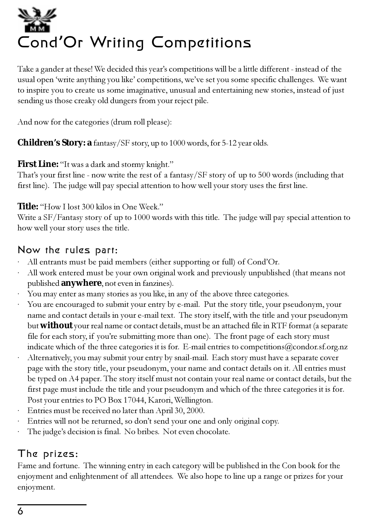# Cond**'**Or Writing Competitions

Take a gander at these! We decided this year's competitions will be a little different - instead of the usual open 'write anything you like' competitions, we've set you some specific challenges. We want to inspire you to create us some imaginative, unusual and entertaining new stories, instead of just sending us those creaky old dungers from your reject pile.

And now for the categories (drum roll please):

**Children's Story: a** fantasy/SF story, up to 1000 words, for 5-12 year olds.

#### **First Line:** "It was a dark and stormy knight."

That's your first line - now write the rest of a fantasy/ $SF$  story of up to 500 words (including that first line). The judge will pay special attention to how well your story uses the first line.

#### Title: "How I lost 300 kilos in One Week."

Write a SF/Fantasy story of up to 1000 words with this title. The judge will pay special attention to how well your story uses the title.

#### Now the rules part:

- All entrants must be paid members (either supporting or full) of Cond'Or.
- · All work entered must be your own original work and previously unpublished (that means not published **anywhere**, not even in fanzines).
- You may enter as many stories as you like, in any of the above three categories.
- · You are encouraged to submit your entry by e-mail. Put the story title, your pseudonym, your name and contact details in your e-mail text. The story itself, with the title and your pseudonym but **without** your real name or contact details, must be an attached file in RTF format (a separate file for each story, if youre submitting more than one). The front page of each story must indicate which of the three categories it is for. E-mail entries to competitions@condor.sf.org.nz
- · Alternatively, you may submit your entry by snail-mail. Each story must have a separate cover page with the story title, your pseudonym, your name and contact details on it. All entries must be typed on A4 paper. The story itself must not contain your real name or contact details, but the first page must include the title and your pseudonym and which of the three categories it is for. Post your entries to PO Box 17044, Karori, Wellington.
- · Entries must be received no later than April 30, 2000.
- Entries will not be returned, so don't send your one and only original copy.
- The judge's decision is final. No bribes. Not even chocolate.

#### The prizes:

Fame and fortune. The winning entry in each category will be published in the Con book for the enjoyment and enlightenment of all attendees. We also hope to line up a range or prizes for your enjoyment.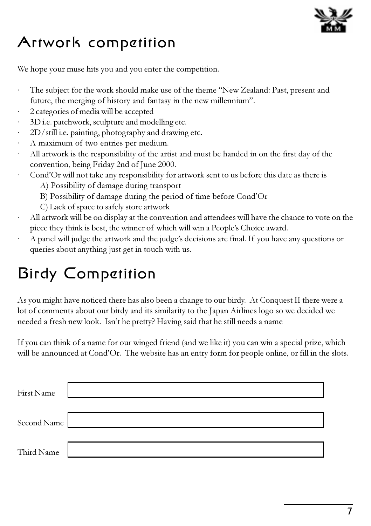

## Artwork competition

We hope your muse hits you and you enter the competition.

- The subject for the work should make use of the theme "New Zealand: Past, present and future, the merging of history and fantasy in the new millennium".
- · 2 categories of media will be accepted
- 3D i.e. patchwork, sculpture and modelling etc.
- 2D/still i.e. painting, photography and drawing etc.
- · A maximum of two entries per medium.
- All artwork is the responsibility of the artist and must be handed in on the first day of the convention, being Friday 2nd of June 2000.
- Cond'Or will not take any responsibility for artwork sent to us before this date as there is
	- A) Possibility of damage during transport
	- B) Possibility of damage during the period of time before Cond'Or
	- C) Lack of space to safely store artwork
- · All artwork will be on display at the convention and attendees will have the chance to vote on the piece they think is best, the winner of which will win a People's Choice award.
- A panel will judge the artwork and the judge's decisions are final. If you have any questions or queries about anything just get in touch with us.

## Birdy Competition

As you might have noticed there has also been a change to our birdy. At Conquest II there were a lot of comments about our birdy and its similarity to the Japan Airlines logo so we decided we needed a fresh new look. Isn't he pretty? Having said that he still needs a name

If you can think of a name for our winged friend (and we like it) you can win a special prize, which will be announced at Cond'Or. The website has an entry form for people online, or fill in the slots.

| First Name  |  |
|-------------|--|
| Second Name |  |
| Third Name  |  |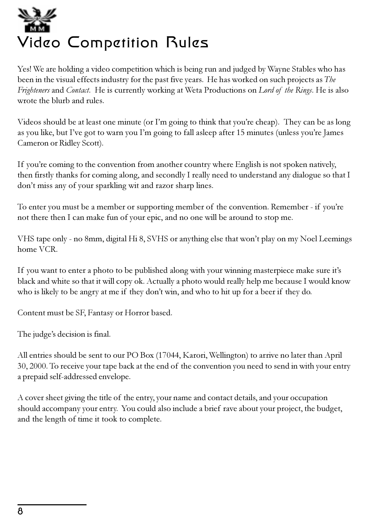## Video Competition Rules

Yes! We are holding a video competition which is being run and judged by Wayne Stables who has been in the visual effects industry for the past five years. He has worked on such projects as *The Frighteners* and *Contact*. He is currently working at Weta Productions on *Lord of the Rings*. He is also wrote the blurb and rules.

Videos should be at least one minute (or I'm going to think that you're cheap). They can be as long as you like, but I've got to warn you I'm going to fall asleep after 15 minutes (unless you're James Cameron or Ridley Scott).

If you're coming to the convention from another country where English is not spoken natively, then firstly thanks for coming along, and secondly I really need to understand any dialogue so that I don't miss any of your sparkling wit and razor sharp lines.

To enter you must be a member or supporting member of the convention. Remember - if youre not there then I can make fun of your epic, and no one will be around to stop me.

VHS tape only - no 8mm, digital Hi 8, SVHS or anything else that won't play on my Noel Leemings home VCR.

If you want to enter a photo to be published along with your winning masterpiece make sure it's black and white so that it will copy ok. Actually a photo would really help me because I would know who is likely to be angry at me if they don't win, and who to hit up for a beer if they do.

Content must be SF, Fantasy or Horror based.

The judge's decision is final.

All entries should be sent to our PO Box (17044, Karori, Wellington) to arrive no later than April 30, 2000. To receive your tape back at the end of the convention you need to send in with your entry a prepaid self-addressed envelope.

A cover sheet giving the title of the entry, your name and contact details, and your occupation should accompany your entry. You could also include a brief rave about your project, the budget, and the length of time it took to complete.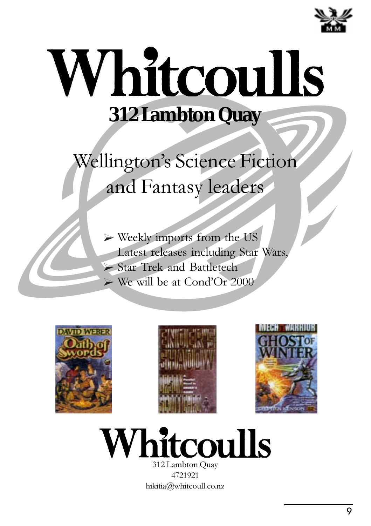

## Whitcoulls **312 Lambton Quay**

Wellington's Science Fiction and Fantasy leaders

> Weekly imports from the US Latest releases including Star Wars, Star Trek and Battletech  $\triangleright$  We will be at Cond'Or 2000







## **Whitcoulls**

312 Lambton Quay 4721921 hikitia@whitcoull.co.nz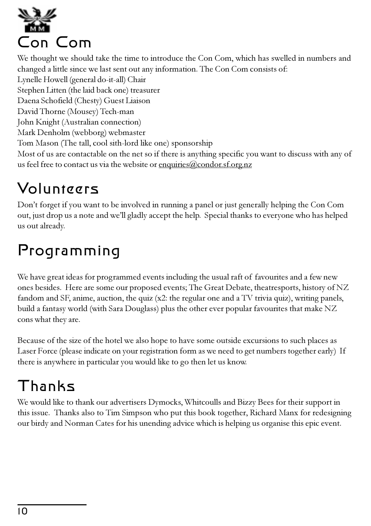

We thought we should take the time to introduce the Con Com, which has swelled in numbers and changed a little since we last sent out any information. The Con Com consists of: Lynelle Howell (general do-it-all) Chair Stephen Litten (the laid back one) treasurer Daena Schofield (Chesty) Guest Liaison David Thorne (Mousey) Tech-man John Knight (Australian connection) Mark Denholm (webborg) webmaster Tom Mason (The tall, cool sith-lord like one) sponsorship Most of us are contactable on the net so if there is anything specific you want to discuss with any of us feel free to contact us via the website or enquiries@condor.sf.org.nz

## Volunteers

Don't forget if you want to be involved in running a panel or just generally helping the Con Com out, just drop us a note and well gladly accept the help. Special thanks to everyone who has helped us out already.

## Programming

We have great ideas for programmed events including the usual raft of favourites and a few new ones besides. Here are some our proposed events; The Great Debate, theatresports, history of NZ fandom and SF, anime, auction, the quiz (x2: the regular one and a TV trivia quiz), writing panels, build a fantasy world (with Sara Douglass) plus the other ever popular favourites that make NZ cons what they are.

Because of the size of the hotel we also hope to have some outside excursions to such places as Laser Force (please indicate on your registration form as we need to get numbers together early) If there is anywhere in particular you would like to go then let us know.

## Thanks

We would like to thank our advertisers Dymocks, Whitcoulls and Bizzy Bees for their support in this issue. Thanks also to Tim Simpson who put this book together, Richard Manx for redesigning our birdy and Norman Cates for his unending advice which is helping us organise this epic event.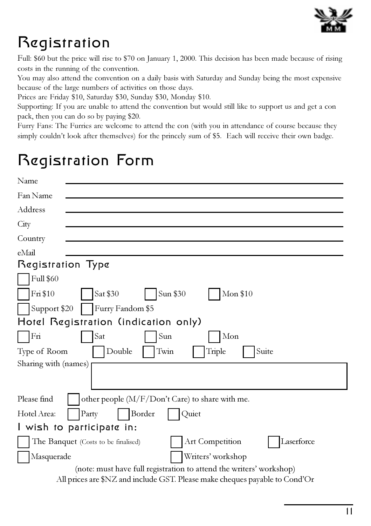

## Registration

Full: \$60 but the price will rise to \$70 on January 1, 2000. This decision has been made because of rising costs in the running of the convention.

You may also attend the convention on a daily basis with Saturday and Sunday being the most expensive because of the large numbers of activities on those days.

Prices are Friday \$10, Saturday \$30, Sunday \$30, Monday \$10.

Supporting: If you are unable to attend the convention but would still like to support us and get a con pack, then you can do so by paying \$20.

Furry Fans: The Furries are welcome to attend the con (with you in attendance of course because they simply couldn't look after themselves) for the princely sum of \$5. Each will receive their own badge.

### Registration Form

| Name                                                                        |  |
|-----------------------------------------------------------------------------|--|
| Fan Name                                                                    |  |
| Address                                                                     |  |
| City                                                                        |  |
| Country                                                                     |  |
| eMail                                                                       |  |
| Registration Type                                                           |  |
| <b>Full \$60</b>                                                            |  |
| Fri \$10<br>Sat \$30<br>Sun \$30<br>Mon \$10                                |  |
| Support \$20<br>Furry Fandom \$5                                            |  |
| Hotel Registration (indication only)                                        |  |
| Fri<br>Sat<br>Sun<br>Mon                                                    |  |
| Double<br>Twin<br>Triple<br>Suite<br>Type of Room                           |  |
| Sharing with (names)                                                        |  |
|                                                                             |  |
| Please find<br>other people (M/F/Don't Care) to share with me.              |  |
| Border<br>Hotel Area:<br>Party<br>Quiet                                     |  |
| I wish to participate in:                                                   |  |
| Laserforce<br>Art Competition<br>The Banquet (Costs to be finalised)        |  |
| Writers' workshop<br>Masquerade                                             |  |
| (note: must have full registration to attend the writers' workshop)         |  |
| All prices are \$NZ and include GST. Please make cheques payable to Cond'Or |  |